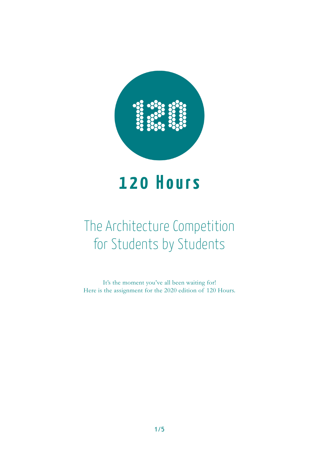

# **120 Hours**

# The Architecture Competition for Students by Students

It's the moment you've all been waiting for! Here is the assignment for the 2020 edition of 120 Hours.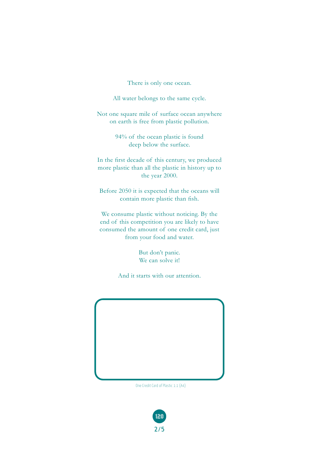There is only one ocean.

All water belongs to the same cycle.

Not one square mile of surface ocean anywhere on earth is free from plastic pollution.

> 94% of the ocean plastic is found deep below the surface.

In the first decade of this century, we produced more plastic than all the plastic in history up to the year 2000.

Before 2050 it is expected that the oceans will contain more plastic than fish.

We consume plastic without noticing. By the end of this competition you are likely to have consumed the amount of one credit card, just from your food and water.

> But don't panic. We can solve it!

And it starts with our attention.



One Credit Card of Plastic 1:1 (A4)

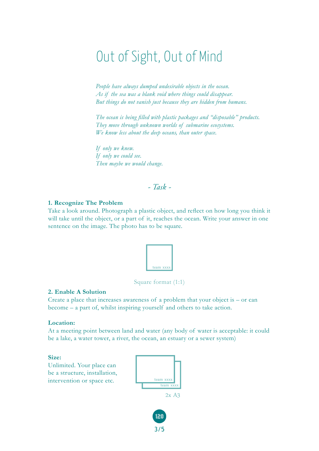# Out of Sight, Out of Mind

*People have always dumped undesirable objects in the ocean. As if the sea was a blank void where things could disappear. But things do not vanish just because they are hidden from humans.*

*The ocean is being filled with plastic packages and "disposable" products. They move through unknown worlds of submarine ecosystems. We know less about the deep oceans, than outer space.*

*If only we knew. If only we could see. Then maybe we would change.*

# *- Task -*

#### **1. Recognize The Problem**

Take a look around. Photograph a plastic object, and reflect on how long you think it will take until the object, or a part of it, reaches the ocean. Write your answer in one sentence on the image. The photo has to be square.



Square format (1:1)

#### **2. Enable A Solution**

Create a place that increases awareness of a problem that your object is – or can become – a part of, whilst inspiring yourself and others to take action.

#### **Location:**

At a meeting point between land and water (any body of water is acceptable: it could be a lake, a water tower, a river, the ocean, an estuary or a sewer system)

**Size:** 

Unlimited. Your place can be a structure, installation, intervention or space etc.



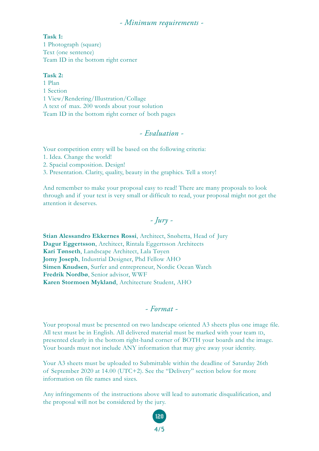### *- Minimum requirements -*

#### **Task 1:**

1 Photograph (square) Text (one sentence) Team ID in the bottom right corner

#### **Task 2:**

1 Plan 1 Section 1 View/Rendering/Illustration/Collage A text of max. 200 words about your solution Team ID in the bottom right corner of both pages

# *- Evaluation -*

Your competition entry will be based on the following criteria:

1. Idea. Change the world!

2. Spacial composition. Design!

3. Presentation. Clarity, quality, beauty in the graphics. Tell a story!

And remember to make your proposal easy to read! There are many proposals to look through and if your text is very small or difficult to read, your proposal might not get the attention it deserves.

# *- Jury -*

**Stian Alessandro Ekkernes Rossi**, Architect, Snøhetta, Head of Jury **Dagur Eggertsson**, Architect, Rintala Eggertsson Architects **Kari Tønseth**, Landscape Architect, Lala Tøyen **Jomy Joseph**, Industrial Designer, Phd Fellow AHO **Simen Knudsen**, Surfer and entrepreneur, Nordic Ocean Watch **Fredrik Nordbø**, Senior advisor, WWF **Karen Stormoen Mykland**, Architecture Student, AHO

### *- Format -*

Your proposal must be presented on two landscape oriented A3 sheets plus one image file. All text must be in English. All delivered material must be marked with your team ID, presented clearly in the bottom right-hand corner of BOTH your boards and the image. Your boards must not include ANY information that may give away your identity.

Your A3 sheets must be uploaded to Submittable within the deadline of Saturday 26th of September 2020 at 14.00 (UTC+2). See the "Delivery" section below for more information on file names and sizes.

Any infringements of the instructions above will lead to automatic disqualification, and the proposal will not be considered by the jury.